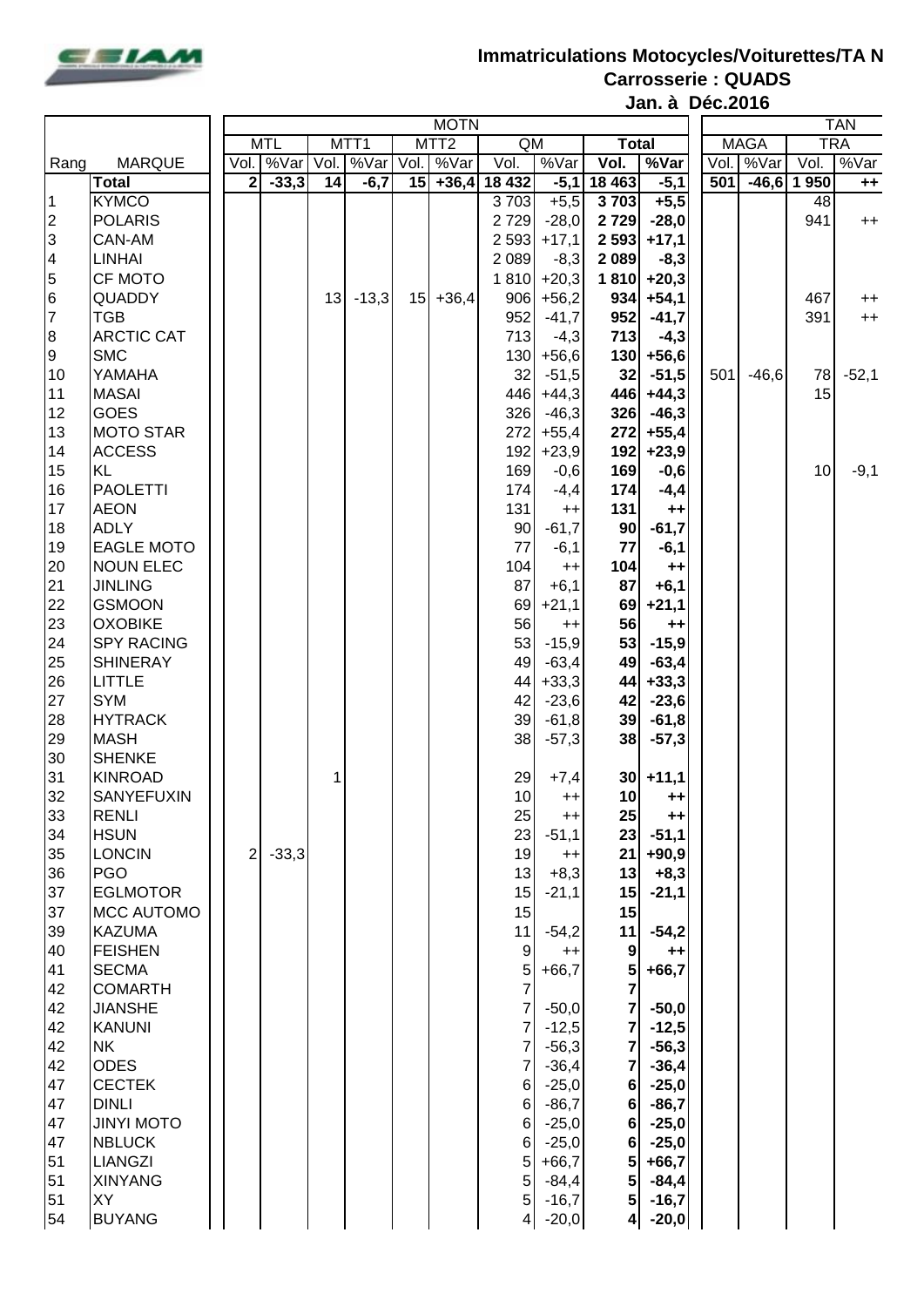

## **Immatriculations Motocycles/Voiturettes/TA N Carrosserie : QUADS**

**Jan. à Déc.2016**

|                       |                             |      | <b>MOTN</b>             |         |      |                  |      |                  |                 |                   |                         |                   |             | <b>TAN</b> |      |            |  |  |  |
|-----------------------|-----------------------------|------|-------------------------|---------|------|------------------|------|------------------|-----------------|-------------------|-------------------------|-------------------|-------------|------------|------|------------|--|--|--|
|                       |                             |      | <b>MTL</b>              |         |      | MTT <sub>1</sub> |      | MTT <sub>2</sub> | QM              |                   | <b>Total</b>            |                   | <b>MAGA</b> |            |      | <b>TRA</b> |  |  |  |
| <b>MARQUE</b><br>Rang |                             | Vol. |                         | %Var    | Vol. | %Var             | Vol. | %Var             | Vol.            | %Var              | Vol.                    | %Var              | Vol         | %Var       | Vol. | %Var       |  |  |  |
|                       | <b>Total</b>                |      | $\overline{\mathbf{2}}$ | $-33,3$ | 14   | $-6,7$           | 15   | $+36,4$          | 18 4 32         | $-5,1$            | 18 4 63                 | $-5,1$            | 501         | $-46,6$    | 1950 | $++$       |  |  |  |
| 1                     | <b>KYMCO</b>                |      |                         |         |      |                  |      |                  | 3703            | $+5,5$            | 3703                    | $+5,5$            |             |            | 48   |            |  |  |  |
| 2                     | <b>POLARIS</b>              |      |                         |         |      |                  |      |                  | 2729            | $-28,0$           | 2729                    | $-28,0$           |             |            | 941  | $^{++}$    |  |  |  |
| 3                     | CAN-AM                      |      |                         |         |      |                  |      |                  | 2 5 9 3         | $+17,1$           | 2 5 9 3                 | $+17,1$           |             |            |      |            |  |  |  |
| 4                     | <b>LINHAI</b>               |      |                         |         |      |                  |      |                  | 2 0 8 9         | $-8,3$            | 2 0 8 9                 | $-8,3$            |             |            |      |            |  |  |  |
| 5                     | CF MOTO                     |      |                         |         |      |                  |      |                  | 1810            | $+20,3$           | 1810                    | $+20,3$           |             |            |      |            |  |  |  |
| 6                     | QUADDY                      |      |                         |         | 13   | $-13,3$          | 15   | $+36,4$          | 906             | $+56,2$           | 934                     | $+54,1$           |             |            | 467  | $^{++}$    |  |  |  |
| $\overline{7}$        | <b>TGB</b>                  |      |                         |         |      |                  |      |                  | 952             | $-41,7$           | 952                     | $-41,7$           |             |            | 391  | $++$       |  |  |  |
| 8                     | <b>ARCTIC CAT</b>           |      |                         |         |      |                  |      |                  | 713             | $-4,3$            | 713                     | $-4,3$            |             |            |      |            |  |  |  |
| 9                     | <b>SMC</b>                  |      |                         |         |      |                  |      |                  | 130             | $+56,6$           | 130                     | $+56,6$           |             |            |      |            |  |  |  |
| 10                    | YAMAHA                      |      |                         |         |      |                  |      |                  | 32              | $-51,5$           | 32                      | $-51,5$           | 501         | $-46,6$    | 78   | $-52,1$    |  |  |  |
| 11                    | <b>MASAI</b>                |      |                         |         |      |                  |      |                  | 446             | $+44,3$           | 446                     | $+44,3$           |             |            | 15   |            |  |  |  |
| 12                    | <b>GOES</b>                 |      |                         |         |      |                  |      |                  | 326             | $-46,3$           | 326                     | $-46,3$           |             |            |      |            |  |  |  |
| 13                    | <b>MOTO STAR</b>            |      |                         |         |      |                  |      |                  | 272             | $+55,4$           | 272                     | $+55,4$           |             |            |      |            |  |  |  |
| 14                    | <b>ACCESS</b>               |      |                         |         |      |                  |      |                  | 192             | $+23,9$           | 192                     | $+23,9$           |             |            |      |            |  |  |  |
| 15                    | <b>KL</b>                   |      |                         |         |      |                  |      |                  | 169             | $-0,6$            | 169                     | $-0,6$            |             |            | 10   | $-9,1$     |  |  |  |
| 16                    | <b>PAOLETTI</b>             |      |                         |         |      |                  |      |                  | 174             | $-4,4$            | 174                     | $-4,4$            |             |            |      |            |  |  |  |
| 17                    | <b>AEON</b>                 |      |                         |         |      |                  |      |                  | 131             | $^{++}$           | 131                     | $++$              |             |            |      |            |  |  |  |
| 18                    | <b>ADLY</b>                 |      |                         |         |      |                  |      |                  | 90              | $-61,7$           | 90                      | $-61,7$           |             |            |      |            |  |  |  |
| 19                    | <b>EAGLE MOTO</b>           |      |                         |         |      |                  |      |                  | 77              | $-6,1$            | 77                      | $-6,1$            |             |            |      |            |  |  |  |
| 20                    | <b>NOUN ELEC</b>            |      |                         |         |      |                  |      |                  | 104             | $^{++}$           | 104                     | $++$              |             |            |      |            |  |  |  |
| 21                    | <b>JINLING</b>              |      |                         |         |      |                  |      |                  | 87              | $+6,1$            | 87                      | $+6,1$            |             |            |      |            |  |  |  |
| 22                    | <b>GSMOON</b>               |      |                         |         |      |                  |      |                  | 69              | $+21,1$           | 69                      | $+21,1$           |             |            |      |            |  |  |  |
| 23                    | <b>OXOBIKE</b>              |      |                         |         |      |                  |      |                  | 56              | $^{++}$           | 56                      | $++$              |             |            |      |            |  |  |  |
| 24                    | <b>SPY RACING</b>           |      |                         |         |      |                  |      |                  | 53              | $-15,9$           | 53                      | $-15,9$           |             |            |      |            |  |  |  |
| 25                    | <b>SHINERAY</b>             |      |                         |         |      |                  |      |                  | 49              | $-63,4$           | 49                      | $-63,4$           |             |            |      |            |  |  |  |
| 26                    | <b>LITTLE</b>               |      |                         |         |      |                  |      |                  | 44              | $+33,3$           | 44                      | $+33,3$           |             |            |      |            |  |  |  |
| 27                    | <b>SYM</b>                  |      |                         |         |      |                  |      |                  | 42              | $-23,6$           | 42                      | $-23,6$           |             |            |      |            |  |  |  |
| 28                    | <b>HYTRACK</b>              |      |                         |         |      |                  |      |                  | 39              | $-61,8$           | 39                      | $-61,8$           |             |            |      |            |  |  |  |
| 29                    | <b>MASH</b>                 |      |                         |         |      |                  |      |                  | 38              | $-57,3$           | 38                      | $-57,3$           |             |            |      |            |  |  |  |
| 30                    | <b>SHENKE</b>               |      |                         |         |      |                  |      |                  |                 |                   |                         |                   |             |            |      |            |  |  |  |
| 31                    | <b>KINROAD</b>              |      |                         |         |      |                  |      |                  | 29              | $+7,4$            | 30 <sub>1</sub>         | $+11,1$           |             |            |      |            |  |  |  |
| 32                    | SANYEFUXIN                  |      |                         |         |      |                  |      |                  | 10              | $^{++}$           | 10                      | $++$              |             |            |      |            |  |  |  |
| 33                    | <b>RENLI</b>                |      |                         |         |      |                  |      |                  | 25              | $++$              | 25                      | $++$              |             |            |      |            |  |  |  |
| 34                    | <b>HSUN</b>                 |      |                         |         |      |                  |      |                  | 23              | $-51,1$           | 23                      | $-51,1$           |             |            |      |            |  |  |  |
| 35<br>36              | <b>LONCIN</b><br><b>PGO</b> |      | $\mathbf 2$             | $-33,3$ |      |                  |      |                  | 19              | $++$              | 21                      | $+90,9$           |             |            |      |            |  |  |  |
| 37                    | <b>EGLMOTOR</b>             |      |                         |         |      |                  |      |                  | 13<br>15        | $+8,3$<br>$-21,1$ | 13<br>15                | $+8,3$<br>$-21,1$ |             |            |      |            |  |  |  |
| 37                    | <b>MCC AUTOMO</b>           |      |                         |         |      |                  |      |                  | 15              |                   | 15                      |                   |             |            |      |            |  |  |  |
| 39                    | <b>KAZUMA</b>               |      |                         |         |      |                  |      |                  | 11              | $-54,2$           | 11                      | $-54,2$           |             |            |      |            |  |  |  |
| 40                    | <b>FEISHEN</b>              |      |                         |         |      |                  |      |                  | 9               | $^{++}$           | 9                       | $++$              |             |            |      |            |  |  |  |
| 41                    | <b>SECMA</b>                |      |                         |         |      |                  |      |                  | 5               | $+66,7$           | 5 <sub>l</sub>          | $+66,7$           |             |            |      |            |  |  |  |
| 42                    | <b>COMARTH</b>              |      |                         |         |      |                  |      |                  | $\overline{7}$  |                   | $\overline{\mathbf{z}}$ |                   |             |            |      |            |  |  |  |
| 42                    | <b>JIANSHE</b>              |      |                         |         |      |                  |      |                  | 7               | $-50,0$           | 7                       | $-50,0$           |             |            |      |            |  |  |  |
| 42                    | <b>KANUNI</b>               |      |                         |         |      |                  |      |                  | 7               | $-12,5$           | 7                       | $-12,5$           |             |            |      |            |  |  |  |
| 42                    | <b>NK</b>                   |      |                         |         |      |                  |      |                  | 7               | $-56,3$           | 7                       | $-56,3$           |             |            |      |            |  |  |  |
| 42                    | <b>ODES</b>                 |      |                         |         |      |                  |      |                  |                 | $-36,4$           |                         | $-36,4$           |             |            |      |            |  |  |  |
| 47                    | <b>CECTEK</b>               |      |                         |         |      |                  |      |                  | 6               | $-25,0$           | 6                       | $-25,0$           |             |            |      |            |  |  |  |
| 47                    | <b>DINLI</b>                |      |                         |         |      |                  |      |                  | 6               | $-86,7$           | 6                       | $-86,7$           |             |            |      |            |  |  |  |
| 47                    | <b>JINYI MOTO</b>           |      |                         |         |      |                  |      |                  | 6               | $-25,0$           | 6                       | $-25,0$           |             |            |      |            |  |  |  |
| 47                    | <b>NBLUCK</b>               |      |                         |         |      |                  |      |                  | 6               | $-25,0$           | 6 <sup>1</sup>          | $-25,0$           |             |            |      |            |  |  |  |
| 51                    | LIANGZI                     |      |                         |         |      |                  |      |                  | 5               | $+66,7$           | 5                       | $+66,7$           |             |            |      |            |  |  |  |
| 51                    | <b>XINYANG</b>              |      |                         |         |      |                  |      |                  | 5               | $-84,4$           | 5 <sub>5</sub>          | $-84,4$           |             |            |      |            |  |  |  |
| 51                    | XY                          |      |                         |         |      |                  |      |                  | 5               | $-16,7$           | $5\vert$                | $-16,7$           |             |            |      |            |  |  |  |
| 54                    | <b>BUYANG</b>               |      |                         |         |      |                  |      |                  | $\vert 4 \vert$ | $-20,0$           | 4                       | $-20,0$           |             |            |      |            |  |  |  |
|                       |                             |      |                         |         |      |                  |      |                  |                 |                   |                         |                   |             |            |      |            |  |  |  |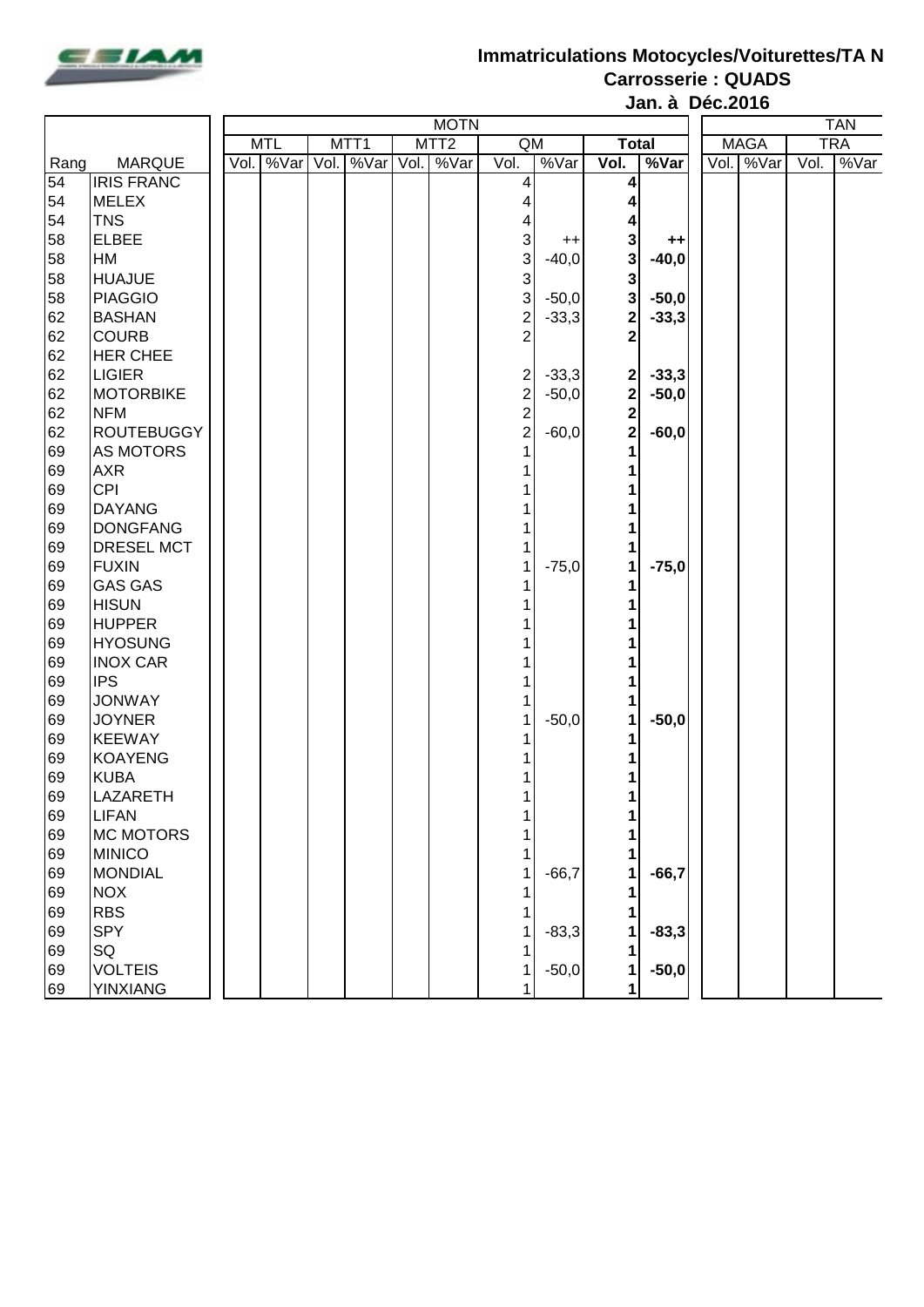

## **Immatriculations Motocycles/Voiturettes/TA N**

**Carrosserie : QUADS Jan. à Déc.2016**

|                 |                   |  | <b>MOTN</b> |  |                  |  |                  |                |         |                |         |      |             | <b>TAN</b> |            |  |  |  |  |  |
|-----------------|-------------------|--|-------------|--|------------------|--|------------------|----------------|---------|----------------|---------|------|-------------|------------|------------|--|--|--|--|--|
|                 |                   |  | <b>MTL</b>  |  | MTT <sub>1</sub> |  | MTT <sub>2</sub> | QM             |         | <b>Total</b>   |         |      | <b>MAGA</b> |            | <b>TRA</b> |  |  |  |  |  |
| Rang            | <b>MARQUE</b>     |  | Vol. %Var   |  | Vol. %Var        |  | Vol. %Var        | Vol.           | %Var    | Vol.           | %Var    | Vol. | √ %Var      | Vol.       | %Var       |  |  |  |  |  |
| $\overline{54}$ | <b>IRIS FRANC</b> |  |             |  |                  |  |                  | 4              |         |                |         |      |             |            |            |  |  |  |  |  |
| 54              | <b>MELEX</b>      |  |             |  |                  |  |                  |                |         |                |         |      |             |            |            |  |  |  |  |  |
| 54              | <b>TNS</b>        |  |             |  |                  |  |                  | 4              |         |                |         |      |             |            |            |  |  |  |  |  |
| 58              | <b>ELBEE</b>      |  |             |  |                  |  |                  | 3              | $^{++}$ | 3              | $++$    |      |             |            |            |  |  |  |  |  |
| 58              | <b>HM</b>         |  |             |  |                  |  |                  | 3              | $-40,0$ | 3 <sup>1</sup> | $-40,0$ |      |             |            |            |  |  |  |  |  |
| 58              | <b>HUAJUE</b>     |  |             |  |                  |  |                  | $\mathbf{3}$   |         | 3              |         |      |             |            |            |  |  |  |  |  |
| 58              | <b>PIAGGIO</b>    |  |             |  |                  |  |                  | 3              | $-50,0$ | 3              | $-50,0$ |      |             |            |            |  |  |  |  |  |
| 62              | <b>BASHAN</b>     |  |             |  |                  |  |                  | $\overline{c}$ | $-33,3$ | $\mathbf{2}$   | $-33,3$ |      |             |            |            |  |  |  |  |  |
| 62              | <b>COURB</b>      |  |             |  |                  |  |                  | $\overline{2}$ |         | 2              |         |      |             |            |            |  |  |  |  |  |
| 62              | <b>HER CHEE</b>   |  |             |  |                  |  |                  |                |         |                |         |      |             |            |            |  |  |  |  |  |
| 62              | <b>LIGIER</b>     |  |             |  |                  |  |                  | 2              | $-33,3$ | $\mathbf{2}$   | $-33,3$ |      |             |            |            |  |  |  |  |  |
| 62              | <b>MOTORBIKE</b>  |  |             |  |                  |  |                  | $\overline{c}$ | $-50,0$ | $\mathbf{2}$   | $-50,0$ |      |             |            |            |  |  |  |  |  |
| 62              | <b>NFM</b>        |  |             |  |                  |  |                  | $\mathbf{2}$   |         | $\mathbf{2}$   |         |      |             |            |            |  |  |  |  |  |
| 62              | <b>ROUTEBUGGY</b> |  |             |  |                  |  |                  | $\overline{c}$ | $-60,0$ | $\mathbf{2}$   | $-60,0$ |      |             |            |            |  |  |  |  |  |
| 69              | <b>AS MOTORS</b>  |  |             |  |                  |  |                  |                |         |                |         |      |             |            |            |  |  |  |  |  |
| 69              | <b>AXR</b>        |  |             |  |                  |  |                  |                |         |                |         |      |             |            |            |  |  |  |  |  |
| 69              | <b>CPI</b>        |  |             |  |                  |  |                  |                |         |                |         |      |             |            |            |  |  |  |  |  |
| 69              | <b>DAYANG</b>     |  |             |  |                  |  |                  |                |         |                |         |      |             |            |            |  |  |  |  |  |
| 69              | <b>DONGFANG</b>   |  |             |  |                  |  |                  |                |         |                |         |      |             |            |            |  |  |  |  |  |
| 69              | DRESEL MCT        |  |             |  |                  |  |                  |                |         |                |         |      |             |            |            |  |  |  |  |  |
| 69              | <b>FUXIN</b>      |  |             |  |                  |  |                  | 1              | $-75,0$ |                | $-75,0$ |      |             |            |            |  |  |  |  |  |
| 69              | <b>GAS GAS</b>    |  |             |  |                  |  |                  |                |         |                |         |      |             |            |            |  |  |  |  |  |
| 69              | <b>HISUN</b>      |  |             |  |                  |  |                  |                |         |                |         |      |             |            |            |  |  |  |  |  |
| 69              | <b>HUPPER</b>     |  |             |  |                  |  |                  |                |         |                |         |      |             |            |            |  |  |  |  |  |
| 69              | <b>HYOSUNG</b>    |  |             |  |                  |  |                  |                |         |                |         |      |             |            |            |  |  |  |  |  |
| 69              | <b>INOX CAR</b>   |  |             |  |                  |  |                  |                |         |                |         |      |             |            |            |  |  |  |  |  |
| 69              | <b>IPS</b>        |  |             |  |                  |  |                  |                |         |                |         |      |             |            |            |  |  |  |  |  |
| 69              | <b>JONWAY</b>     |  |             |  |                  |  |                  |                |         |                |         |      |             |            |            |  |  |  |  |  |
| 69              | <b>JOYNER</b>     |  |             |  |                  |  |                  |                | $-50,0$ |                | $-50,0$ |      |             |            |            |  |  |  |  |  |
| 69              | <b>KEEWAY</b>     |  |             |  |                  |  |                  |                |         |                |         |      |             |            |            |  |  |  |  |  |
| 69              | <b>KOAYENG</b>    |  |             |  |                  |  |                  |                |         |                |         |      |             |            |            |  |  |  |  |  |
| 69              | <b>KUBA</b>       |  |             |  |                  |  |                  |                |         |                |         |      |             |            |            |  |  |  |  |  |
| 69              | <b>LAZARETH</b>   |  |             |  |                  |  |                  |                |         |                |         |      |             |            |            |  |  |  |  |  |
| 69              | <b>LIFAN</b>      |  |             |  |                  |  |                  |                |         |                |         |      |             |            |            |  |  |  |  |  |
| 69              | <b>MC MOTORS</b>  |  |             |  |                  |  |                  |                |         |                |         |      |             |            |            |  |  |  |  |  |
| 69              | <b>MINICO</b>     |  |             |  |                  |  |                  |                |         |                |         |      |             |            |            |  |  |  |  |  |
| 69              | <b>MONDIAL</b>    |  |             |  |                  |  |                  | $\mathbf{1}$   | $-66,7$ |                | $-66,7$ |      |             |            |            |  |  |  |  |  |
| 69              | <b>NOX</b>        |  |             |  |                  |  |                  |                |         |                |         |      |             |            |            |  |  |  |  |  |
| 69              | <b>RBS</b>        |  |             |  |                  |  |                  |                |         |                |         |      |             |            |            |  |  |  |  |  |
| 69              | SPY               |  |             |  |                  |  |                  |                | $-83,3$ |                | $-83,3$ |      |             |            |            |  |  |  |  |  |
| 69              | SQ                |  |             |  |                  |  |                  |                |         |                |         |      |             |            |            |  |  |  |  |  |
| 69              | <b>VOLTEIS</b>    |  |             |  |                  |  |                  |                | $-50,0$ |                | $-50,0$ |      |             |            |            |  |  |  |  |  |
| 69              | <b>YINXIANG</b>   |  |             |  |                  |  |                  |                |         | 1              |         |      |             |            |            |  |  |  |  |  |
|                 |                   |  |             |  |                  |  |                  |                |         |                |         |      |             |            |            |  |  |  |  |  |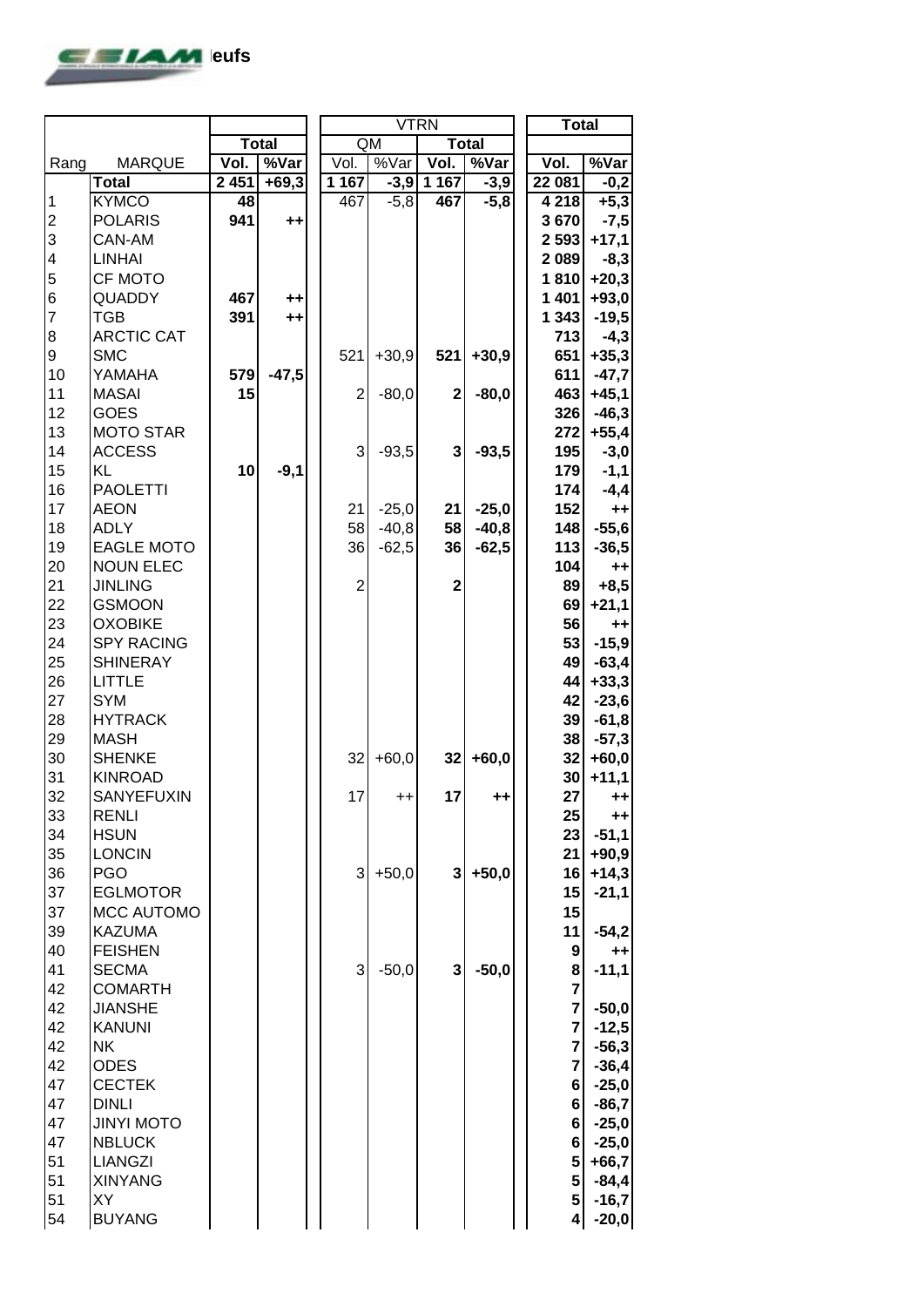

|                 |                   |         |              |                | <b>VTRN</b> |                         |                 | <b>Total</b>   |                |
|-----------------|-------------------|---------|--------------|----------------|-------------|-------------------------|-----------------|----------------|----------------|
|                 |                   |         | <b>Total</b> |                | QM          |                         | <b>Total</b>    |                |                |
| Rang            | <b>MARQUE</b>     | Vol.    | %Var         | Vol.           | %Var        | Vol.                    | %Var            | Vol.           | %Var           |
|                 | <b>Total</b>      | 2 4 5 1 | $+69,3$      | 1 1 6 7        | $-3,9$      | 1 1 6 7                 | $-3,9$          | 22 081         | $-0,2$         |
| $\mathbf 1$     | <b>KYMCO</b>      | 48      |              | 467            | $-5,8$      | 467                     | $-5,8$          | 4 2 1 8        | $+5,3$         |
|                 | <b>POLARIS</b>    | 941     | $++$         |                |             |                         |                 | 3670           | $-7,5$         |
| 23456           | CAN-AM            |         |              |                |             |                         |                 | 2 5 9 3        | $+17,1$        |
|                 | <b>LINHAI</b>     |         |              |                |             |                         |                 | 2089           | $-8,3$         |
|                 | <b>CF MOTO</b>    |         |              |                |             |                         |                 | 1810           | $+20,3$        |
|                 | QUADDY            | 467     | $++$         |                |             |                         |                 | 1401           | $+93,0$        |
| $\overline{7}$  | <b>TGB</b>        | 391     | $++$         |                |             |                         |                 | 1 3 4 3        | $-19,5$        |
| 8               | <b>ARCTIC CAT</b> |         |              |                |             |                         |                 | 713            | $-4,3$         |
| 9               | <b>SMC</b>        |         |              | 521            | $+30,9$     | 521                     | $+30,9$         | 651            | $+35,3$        |
| 10              | YAMAHA            | 579     | $-47,5$      |                |             |                         |                 | 611            | $-47,7$        |
| 11              | <b>MASAI</b>      | 15      |              | $\overline{2}$ | $-80,0$     | $\mathbf 2$             | $-80,0$         | 463            | $+45,1$        |
| 12              | <b>GOES</b>       |         |              |                |             |                         |                 | 326            | $-46,3$        |
| 13              | <b>MOTO STAR</b>  |         |              |                |             |                         |                 | 272            | $+55,4$        |
| 14              | <b>ACCESS</b>     |         |              | 3              | $-93,5$     | 3                       | $-93,5$         | 195            | $-3,0$         |
| 15              | KL                | 10      | $-9,1$       |                |             |                         |                 | 179            | $-1,1$         |
| 16              | <b>PAOLETTI</b>   |         |              |                |             |                         |                 | 174            | $-4,4$         |
| 17              | <b>AEON</b>       |         |              | 21             | $-25,0$     | 21                      | $-25,0$         | 152            | $++$           |
| 18              | <b>ADLY</b>       |         |              | 58             | $-40,8$     | 58                      | $-40,8$         | 148            | $-55,6$        |
| 19              | <b>EAGLE MOTO</b> |         |              | 36             | $-62,5$     | 36                      | $-62,5$         | 113            | $-36,5$        |
| 20              | <b>NOUN ELEC</b>  |         |              |                |             |                         |                 | 104            | $++$           |
|                 | <b>JINLING</b>    |         |              | $\overline{c}$ |             | $\overline{\mathbf{c}}$ |                 | 89             |                |
| $\frac{21}{22}$ | <b>GSMOON</b>     |         |              |                |             |                         |                 |                | $+8,5$         |
|                 |                   |         |              |                |             |                         |                 | 69             | $+21,1$        |
| 23              | <b>OXOBIKE</b>    |         |              |                |             |                         |                 | 56             | ++             |
| 24              | <b>SPY RACING</b> |         |              |                |             |                         |                 | 53             | $-15,9$        |
| 25              | <b>SHINERAY</b>   |         |              |                |             |                         |                 | 49             | $-63,4$        |
| 26              | <b>LITTLE</b>     |         |              |                |             |                         |                 | 44             | $+33,3$        |
| 27              | <b>SYM</b>        |         |              |                |             |                         |                 | 42             | $-23,6$        |
| 28              | <b>HYTRACK</b>    |         |              |                |             |                         |                 | 39             | $-61,8$        |
| 29              | <b>MASH</b>       |         |              |                |             |                         |                 | 38             | $-57,3$        |
| 30              | <b>SHENKE</b>     |         |              | 32             | $+60,0$     | 32                      | $+60,0$         | 32             | $+60,0$        |
| 31              | <b>KINROAD</b>    |         |              |                |             |                         |                 | 30             | $+11,1$        |
| 32              | <b>SANYEFUXIN</b> |         |              | 17             | $^{++}$     | 17                      | $^{\mathrm{+}}$ | 27             | $++$           |
| 33              | <b>RENLI</b>      |         |              |                |             |                         |                 | 25             | $^{\tiny{++}}$ |
| 34              | <b>HSUN</b>       |         |              |                |             |                         |                 | 23             | $-51,1$        |
| 35              | <b>LONCIN</b>     |         |              |                |             |                         |                 | 21             | $+90,9$        |
| 36              | <b>PGO</b>        |         |              | 3              | $+50,0$     | 3                       | $+50,0$         | 16             | $+14,3$        |
| 37              | <b>EGLMOTOR</b>   |         |              |                |             |                         |                 | 15             | $-21,1$        |
| 37              | <b>MCC AUTOMO</b> |         |              |                |             |                         |                 | 15             |                |
| 39              | <b>KAZUMA</b>     |         |              |                |             |                         |                 | 11             | $-54,2$        |
| 40              | <b>FEISHEN</b>    |         |              |                |             |                         |                 | 9              | $^{\tiny{++}}$ |
| 41              | <b>SECMA</b>      |         |              | 3              | $-50,0$     | 3                       | $-50,0$         | 8              | $-11,1$        |
| 42              | <b>COMARTH</b>    |         |              |                |             |                         |                 | $\overline{7}$ |                |
| 42              | <b>JIANSHE</b>    |         |              |                |             |                         |                 | $\overline{7}$ | $-50,0$        |
| 42              | <b>KANUNI</b>     |         |              |                |             |                         |                 | $\overline{7}$ | $-12,5$        |
| 42              | NK.               |         |              |                |             |                         |                 | $\overline{7}$ | $-56,3$        |
| 42              | <b>ODES</b>       |         |              |                |             |                         |                 | $\overline{7}$ | $-36,4$        |
| 47              | <b>CECTEK</b>     |         |              |                |             |                         |                 | 6              | $-25,0$        |
| 47              | <b>DINLI</b>      |         |              |                |             |                         |                 | 6              | $-86,7$        |
| 47              | <b>JINYI MOTO</b> |         |              |                |             |                         |                 | 6              | $-25,0$        |
| 47              | <b>NBLUCK</b>     |         |              |                |             |                         |                 | 6              | $-25,0$        |
| 51              | <b>LIANGZI</b>    |         |              |                |             |                         |                 | 5              | $+66,7$        |
| 51              | <b>XINYANG</b>    |         |              |                |             |                         |                 | 5              | $-84,4$        |
| 51              | XY                |         |              |                |             |                         |                 | 5              | $-16,7$        |
| 54              | <b>BUYANG</b>     |         |              |                |             |                         |                 | 4              | $-20,0$        |
|                 |                   |         |              |                |             |                         |                 |                |                |